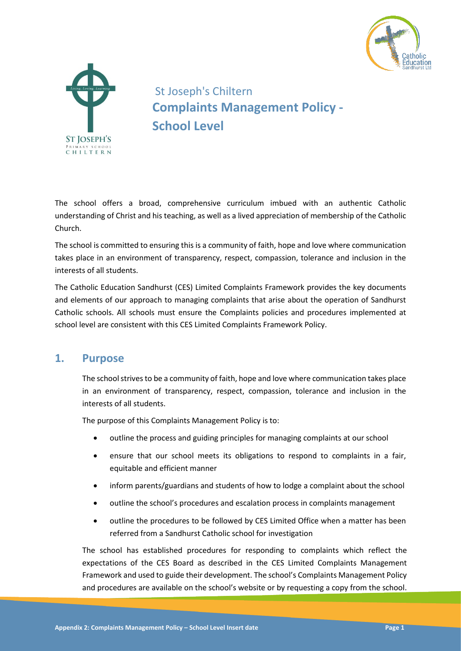



St Joseph's Chiltern **Complaints Management Policy - School Level**

The school offers a broad, comprehensive curriculum imbued with an authentic Catholic understanding of Christ and his teaching, as well as a lived appreciation of membership of the Catholic Church.

The school is committed to ensuring this is a community of faith, hope and love where communication takes place in an environment of transparency, respect, compassion, tolerance and inclusion in the interests of all students.

The Catholic Education Sandhurst (CES) Limited Complaints Framework provides the key documents and elements of our approach to managing complaints that arise about the operation of Sandhurst Catholic schools. All schools must ensure the Complaints policies and procedures implemented at school level are consistent with this CES Limited Complaints Framework Policy.

### **1. Purpose**

The school strives to be a community of faith, hope and love where communication takes place in an environment of transparency, respect, compassion, tolerance and inclusion in the interests of all students.

The purpose of this Complaints Management Policy is to:

- outline the process and guiding principles for managing complaints at our school
- ensure that our school meets its obligations to respond to complaints in a fair, equitable and efficient manner
- inform parents/guardians and students of how to lodge a complaint about the school
- outline the school's procedures and escalation process in complaints management
- outline the procedures to be followed by CES Limited Office when a matter has been referred from a Sandhurst Catholic school for investigation

The school has established procedures for responding to complaints which reflect the expectations of the CES Board as described in the CES Limited Complaints Management Framework and used to guide their development. The school's Complaints Management Policy and procedures are available on the school's website or by requesting a copy from the school.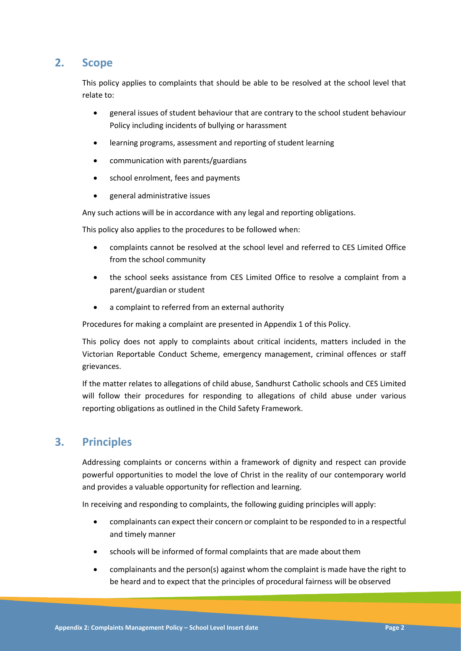# **2. Scope**

This policy applies to complaints that should be able to be resolved at the school level that relate to:

- general issues of student behaviour that are contrary to the school student behaviour Policy including incidents of bullying or harassment
- learning programs, assessment and reporting of student learning
- communication with parents/guardians
- school enrolment, fees and payments
- general administrative issues

Any such actions will be in accordance with any legal and reporting obligations.

This policy also applies to the procedures to be followed when:

- complaints cannot be resolved at the school level and referred to CES Limited Office from the school community
- the school seeks assistance from CES Limited Office to resolve a complaint from a parent/guardian or student
- a complaint to referred from an external authority

Procedures for making a complaint are presented in Appendix 1 of this Policy.

This policy does not apply to complaints about critical incidents, matters included in the Victorian Reportable Conduct Scheme, emergency management, criminal offences or staff grievances.

If the matter relates to allegations of child abuse, Sandhurst Catholic schools and CES Limited will follow their procedures for responding to allegations of child abuse under various reporting obligations as outlined in the Child Safety Framework.

## **3. Principles**

Addressing complaints or concerns within a framework of dignity and respect can provide powerful opportunities to model the love of Christ in the reality of our contemporary world and provides a valuable opportunity for reflection and learning.

In receiving and responding to complaints, the following guiding principles will apply:

- complainants can expect their concern or complaint to be responded to in a respectful and timely manner
- schools will be informed of formal complaints that are made aboutthem
- complainants and the person(s) against whom the complaint is made have the right to be heard and to expect that the principles of procedural fairness will be observed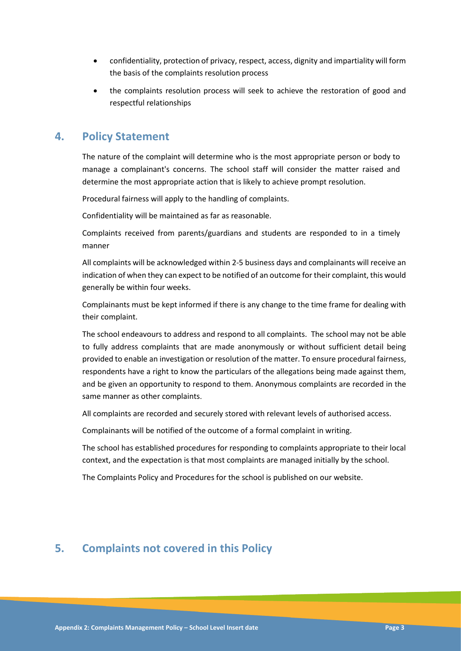- confidentiality, protection of privacy, respect, access, dignity and impartiality will form the basis of the complaints resolution process
- the complaints resolution process will seek to achieve the restoration of good and respectful relationships

## **4. Policy Statement**

The nature of the complaint will determine who is the most appropriate person or body to manage a complainant's concerns. The school staff will consider the matter raised and determine the most appropriate action that is likely to achieve prompt resolution.

Procedural fairness will apply to the handling of complaints.

Confidentiality will be maintained as far as reasonable.

Complaints received from parents/guardians and students are responded to in a timely manner

All complaints will be acknowledged within 2-5 business days and complainants will receive an indication of when they can expect to be notified of an outcome for their complaint, this would generally be within four weeks.

Complainants must be kept informed if there is any change to the time frame for dealing with their complaint.

The school endeavours to address and respond to all complaints. The school may not be able to fully address complaints that are made anonymously or without sufficient detail being provided to enable an investigation or resolution of the matter. To ensure procedural fairness, respondents have a right to know the particulars of the allegations being made against them, and be given an opportunity to respond to them. Anonymous complaints are recorded in the same manner as other complaints.

All complaints are recorded and securely stored with relevant levels of authorised access.

Complainants will be notified of the outcome of a formal complaint in writing.

The school has established procedures for responding to complaints appropriate to their local context, and the expectation is that most complaints are managed initially by the school.

The Complaints Policy and Procedures for the school is published on our website.

# **5. Complaints not covered in this Policy**